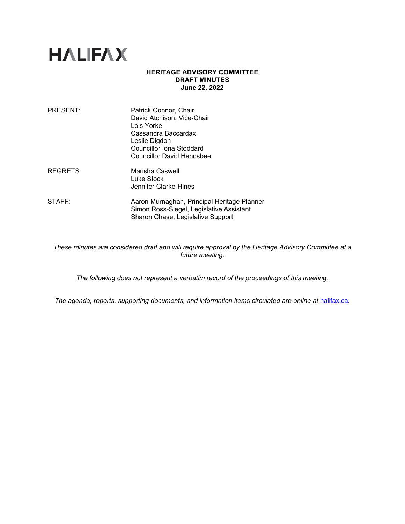

## **HERITAGE ADVISORY COMMITTEE DRAFT MINUTES June 22, 2022**

| PRESENT:        | Patrick Connor, Chair<br>David Atchison, Vice-Chair<br>Lois Yorke<br>Cassandra Baccardax<br>Leslie Digdon<br><b>Councillor Iona Stoddard</b><br><b>Councillor David Hendsbee</b> |
|-----------------|----------------------------------------------------------------------------------------------------------------------------------------------------------------------------------|
| <b>REGRETS:</b> | Marisha Caswell<br>Luke Stock<br>Jennifer Clarke-Hines                                                                                                                           |
| STAFF:          | Aaron Murnaghan, Principal Heritage Planner<br>Simon Ross-Siegel, Legislative Assistant<br>Sharon Chase, Legislative Support                                                     |

*These minutes are considered draft and will require approval by the Heritage Advisory Committee at a future meeting.* 

*The following does not represent a verbatim record of the proceedings of this meeting.*

The agenda, reports, supporting documents, and information items circulated are online at **[halifax.ca](http://www.halifax.ca/).**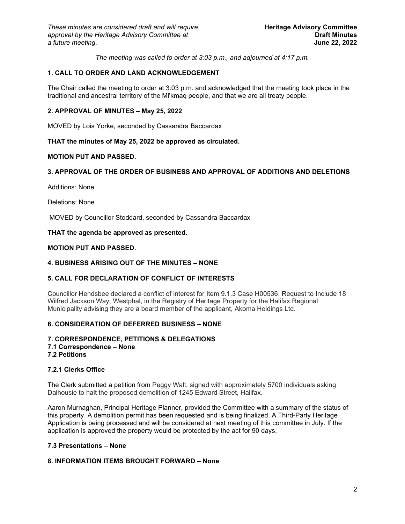*The meeting was called to order at 3:03 p.m., and adjourned at 4:17 p.m.*

# **1. CALL TO ORDER AND LAND ACKNOWLEDGEMENT**

The Chair called the meeting to order at 3:03 p.m. and acknowledged that the meeting took place in the traditional and ancestral territory of the Mi'kmaq people, and that we are all treaty people.

## **2. APPROVAL OF MINUTES – May 25, 2022**

MOVED by Lois Yorke, seconded by Cassandra Baccardax

## **THAT the minutes of May 25, 2022 be approved as circulated.**

## **MOTION PUT AND PASSED.**

# **3. APPROVAL OF THE ORDER OF BUSINESS AND APPROVAL OF ADDITIONS AND DELETIONS**

Additions: None

Deletions: None

MOVED by Councillor Stoddard, seconded by Cassandra Baccardax

**THAT the agenda be approved as presented.**

# **MOTION PUT AND PASSED.**

### **4. BUSINESS ARISING OUT OF THE MINUTES – NONE**

# **5. CALL FOR DECLARATION OF CONFLICT OF INTERESTS**

Councillor Hendsbee declared a conflict of interest for Item 9.1.3 Case H00536: Request to Include 18 Wilfred Jackson Way, Westphal, in the Registry of Heritage Property for the Halifax Regional Municipality advising they are a board member of the applicant, Akoma Holdings Ltd.

# **6. CONSIDERATION OF DEFERRED BUSINESS – NONE**

# **7. CORRESPONDENCE, PETITIONS & DELEGATIONS 7.1 Correspondence – None**

# **7.2 Petitions**

### **7.2.1 Clerks Office**

The Clerk submitted a petition from Peggy Walt, signed with approximately 5700 individuals asking Dalhousie to halt the proposed demolition of 1245 Edward Street, Halifax.

Aaron Murnaghan, Principal Heritage Planner, provided the Committee with a summary of the status of this property. A demolition permit has been requested and is being finalized. A Third-Party Heritage Application is being processed and will be considered at next meeting of this committee in July. If the application is approved the property would be protected by the act for 90 days.

### **7.3 Presentations – None**

### **8. INFORMATION ITEMS BROUGHT FORWARD – None**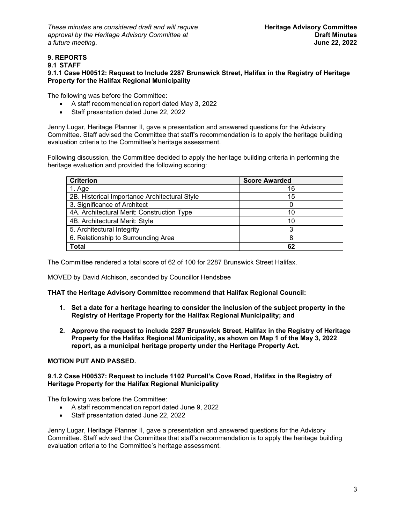*These minutes are considered draft and will require* **Heritage Advisory Committee** *approval by the Heritage Advisory Committee at* **Draft Minutes**   $a$  *future meeting.* 

### **9. REPORTS 9.1 STAFF 9.1.1 Case H00512: Request to Include 2287 Brunswick Street, Halifax in the Registry of Heritage Property for the Halifax Regional Municipality**

The following was before the Committee:

- A staff recommendation report dated May 3, 2022
- Staff presentation dated June 22, 2022

Jenny Lugar, Heritage Planner II, gave a presentation and answered questions for the Advisory Committee. Staff advised the Committee that staff's recommendation is to apply the heritage building evaluation criteria to the Committee's heritage assessment.

Following discussion, the Committee decided to apply the heritage building criteria in performing the heritage evaluation and provided the following scoring:

| <b>Criterion</b>                              | <b>Score Awarded</b> |
|-----------------------------------------------|----------------------|
| 1. Age                                        | 16                   |
| 2B. Historical Importance Architectural Style | 15                   |
| 3. Significance of Architect                  |                      |
| 4A. Architectural Merit: Construction Type    | 10                   |
| 4B. Architectural Merit: Style                | 10                   |
| 5. Architectural Integrity                    | 3                    |
| 6. Relationship to Surrounding Area           | 8                    |
| <b>Total</b>                                  | 62                   |

The Committee rendered a total score of 62 of 100 for 2287 Brunswick Street Halifax.

MOVED by David Atchison, seconded by Councillor Hendsbee

**THAT the Heritage Advisory Committee recommend that Halifax Regional Council:**

- **1. Set a date for a heritage hearing to consider the inclusion of the subject property in the Registry of Heritage Property for the Halifax Regional Municipality; and**
- **2. Approve the request to include 2287 Brunswick Street, Halifax in the Registry of Heritage Property for the Halifax Regional Municipality, as shown on Map 1 of the May 3, 2022 report, as a municipal heritage property under the Heritage Property Act.**

### **MOTION PUT AND PASSED.**

# **9.1.2 Case H00537: Request to include 1102 Purcell's Cove Road, Halifax in the Registry of Heritage Property for the Halifax Regional Municipality**

The following was before the Committee:

- A staff recommendation report dated June 9, 2022
- Staff presentation dated June 22, 2022

Jenny Lugar, Heritage Planner II, gave a presentation and answered questions for the Advisory Committee. Staff advised the Committee that staff's recommendation is to apply the heritage building evaluation criteria to the Committee's heritage assessment.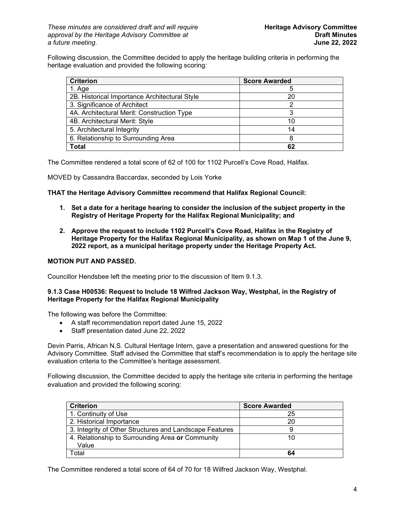Following discussion, the Committee decided to apply the heritage building criteria in performing the heritage evaluation and provided the following scoring:

| <b>Criterion</b>                              | <b>Score Awarded</b> |
|-----------------------------------------------|----------------------|
| 1. Age                                        |                      |
| 2B. Historical Importance Architectural Style | 20                   |
| 3. Significance of Architect                  |                      |
| 4A. Architectural Merit: Construction Type    |                      |
| 4B. Architectural Merit: Style                | 10                   |
| 5. Architectural Integrity                    | 14                   |
| 6. Relationship to Surrounding Area           |                      |
| <b>Total</b>                                  | 62                   |

The Committee rendered a total score of 62 of 100 for 1102 Purcell's Cove Road, Halifax.

MOVED by Cassandra Baccardax, seconded by Lois Yorke

**THAT the Heritage Advisory Committee recommend that Halifax Regional Council:**

- **1. Set a date for a heritage hearing to consider the inclusion of the subject property in the Registry of Heritage Property for the Halifax Regional Municipality; and**
- **2. Approve the request to include 1102 Purcell's Cove Road, Halifax in the Registry of Heritage Property for the Halifax Regional Municipality, as shown on Map 1 of the June 9, 2022 report, as a municipal heritage property under the Heritage Property Act.**

## **MOTION PUT AND PASSED.**

Councillor Hendsbee left the meeting prior to the discussion of Item 9.1.3.

### **9.1.3 Case H00536: Request to Include 18 Wilfred Jackson Way, Westphal, in the Registry of Heritage Property for the Halifax Regional Municipality**

The following was before the Committee:

- A staff recommendation report dated June 15, 2022
- Staff presentation dated June 22, 2022

Devin Parris, African N.S. Cultural Heritage Intern, gave a presentation and answered questions for the Advisory Committee. Staff advised the Committee that staff's recommendation is to apply the heritage site evaluation criteria to the Committee's heritage assessment.

Following discussion, the Committee decided to apply the heritage site criteria in performing the heritage evaluation and provided the following scoring:

| <b>Criterion</b>                                        | <b>Score Awarded</b> |
|---------------------------------------------------------|----------------------|
| 1. Continuity of Use                                    | 25                   |
| 2. Historical Importance                                | 20                   |
| 3. Integrity of Other Structures and Landscape Features |                      |
| 4. Relationship to Surrounding Area or Community        | 10                   |
| Value                                                   |                      |
| Total                                                   | 64                   |

The Committee rendered a total score of 64 of 70 for 18 Wilfred Jackson Way, Westphal.